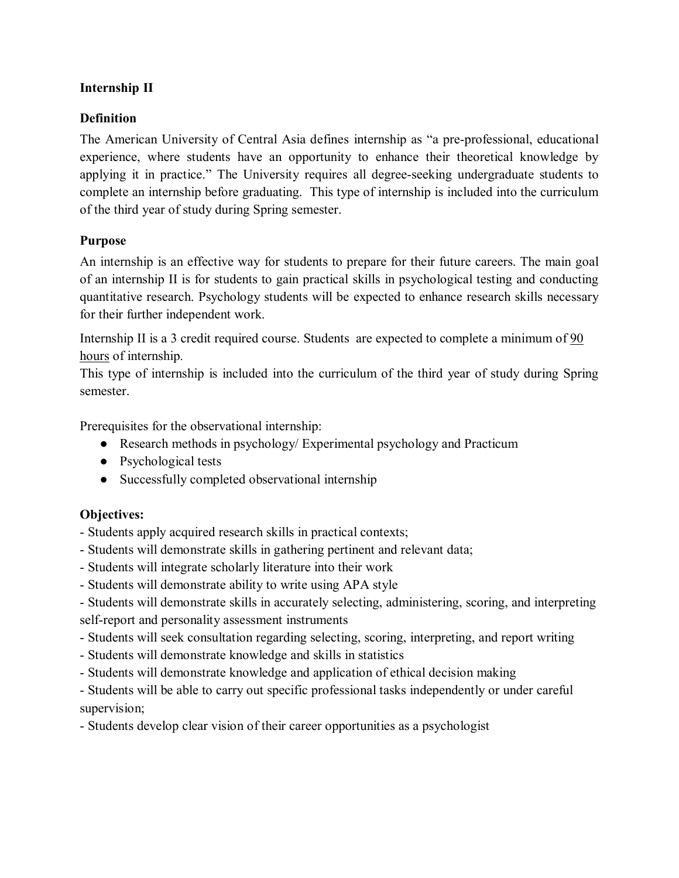### **Internship II**

### **Definition**

The American University of Central Asia defines internship as "a pre-professional, educational experience, where students have an opportunity to enhance their theoretical knowledge by applying it in practice." The University requires all degree-seeking undergraduate students to complete an internship before graduating. This type of internship is included into the curriculum of the third year of study during Spring semester.

#### **Purpose**

An internship is an effective way for students to prepare for their future careers. The main goal of an internship II is for students to gain practical skills in psychological testing and conducting quantitative research. Psychology students will be expected to enhance research skills necessary for their further independent work.

Internship II is a 3 credit required course. Students are expected to complete a minimum of 90 hours of internship.

This type of internship is included into the curriculum of the third year of study during Spring semester.

Prerequisites for the observational internship:

- Research methods in psychology/ Experimental psychology and Practicum
- Psychological tests
- Successfully completed observational internship

# **Objectives:**

- Students apply acquired research skills in practical contexts;

- Students will demonstrate skills in gathering pertinent and relevant data;
- Students will integrate scholarly literature into their work
- Students will demonstrate ability to write using APA style

- Students will demonstrate skills in accurately selecting, administering, scoring, and interpreting self-report and personality assessment instruments

- Students will seek consultation regarding selecting, scoring, interpreting, and report writing
- Students will demonstrate knowledge and skills in statistics
- Students will demonstrate knowledge and application of ethical decision making

- Students will be able to carry out specific professional tasks independently or under careful supervision;

- Students develop clear vision of their career opportunities as a psychologist